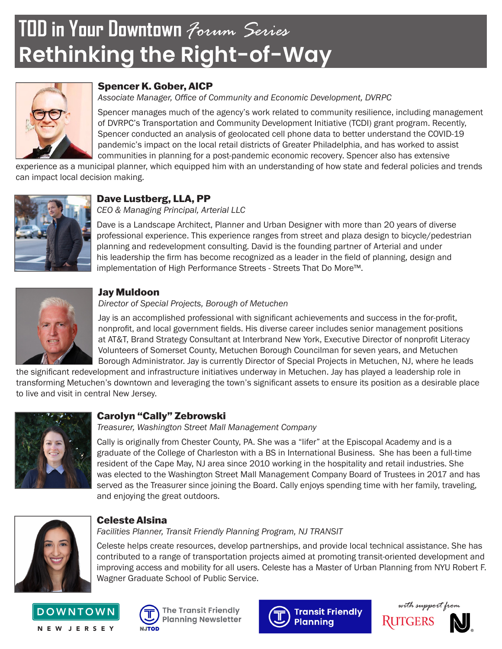# **TOD in Your Downtown** *Forum Series* **Rethinking the Right-of-Way**



# Spencer K. Gober, AICP

*Associate Manager, Office of Community and Economic Development, DVRPC*

Spencer manages much of the agency's work related to community resilience, including management of DVRPC's Transportation and Community Development Initiative (TCDI) grant program. Recently, Spencer conducted an analysis of geolocated cell phone data to better understand the COVID-19 pandemic's impact on the local retail districts of Greater Philadelphia, and has worked to assist communities in planning for a post-pandemic economic recovery. Spencer also has extensive

experience as a municipal planner, which equipped him with an understanding of how state and federal policies and trends can impact local decision making.



# Dave Lustberg, LLA, PP

*CEO & Managing Principal, Arterial LLC*

Dave is a Landscape Architect, Planner and Urban Designer with more than 20 years of diverse professional experience. This experience ranges from street and plaza design to bicycle/pedestrian planning and redevelopment consulting. David is the founding partner of Arterial and under his leadership the firm has become recognized as a leader in the field of planning, design and implementation of High Performance Streets - Streets That Do More™.



## Jay Muldoon

#### *Director of Special Projects, Borough of Metuchen*

Jay is an accomplished professional with significant achievements and success in the for-profit, nonprofit, and local government fields. His diverse career includes senior management positions at AT&T, Brand Strategy Consultant at Interbrand New York, Executive Director of nonprofit Literacy Volunteers of Somerset County, Metuchen Borough Councilman for seven years, and Metuchen Borough Administrator. Jay is currently Director of Special Projects in Metuchen, NJ, where he leads

the significant redevelopment and infrastructure initiatives underway in Metuchen. Jay has played a leadership role in transforming Metuchen's downtown and leveraging the town's significant assets to ensure its position as a desirable place to live and visit in central New Jersey.



#### Carolyn "Cally" Zebrowski

*Treasurer, Washington Street Mall Management Company*

Cally is originally from Chester County, PA. She was a "lifer" at the Episcopal Academy and is a graduate of the College of Charleston with a BS in International Business. She has been a full-time resident of the Cape May, NJ area since 2010 working in the hospitality and retail industries. She was elected to the Washington Street Mall Management Company Board of Trustees in 2017 and has served as the Treasurer since joining the Board. Cally enjoys spending time with her family, traveling, and enjoying the great outdoors.



#### Celeste Alsina

*Facilities Planner, Transit Friendly Planning Program, NJ TRANSIT*

Celeste helps create resources, develop partnerships, and provide local technical assistance. She has contributed to a range of transportation projects aimed at promoting transit-oriented development and improving access and mobility for all users. Celeste has a Master of Urban Planning from NYU Robert F. Wagner Graduate School of Public Service.







**The Transit Friendly Planning Newsletter**